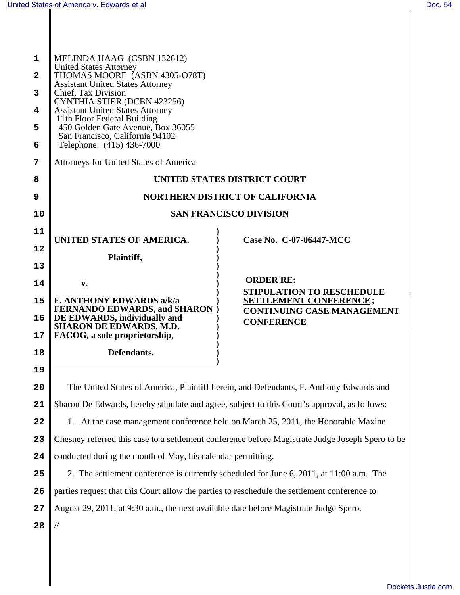Ш

I

| 1                                                                                                   | MELINDA HAAG (CSBN 132612)<br><b>United States Attorney</b>                                  |                                                                                                  |
|-----------------------------------------------------------------------------------------------------|----------------------------------------------------------------------------------------------|--------------------------------------------------------------------------------------------------|
| THOMAS MOORE (ASBN 4305-O78T)<br>$\overline{\mathbf{c}}$<br><b>Assistant United States Attorney</b> |                                                                                              |                                                                                                  |
| 3                                                                                                   | Chief, Tax Division<br>CYNTHIA STIER (DCBN 423256)                                           |                                                                                                  |
| 4                                                                                                   | <b>Assistant United States Attorney</b><br>11th Floor Federal Building                       |                                                                                                  |
| 5                                                                                                   | 450 Golden Gate Avenue, Box 36055<br>San Francisco, California 94102                         |                                                                                                  |
| 6                                                                                                   | Telephone: (415) 436-7000                                                                    |                                                                                                  |
| 7                                                                                                   | Attorneys for United States of America                                                       |                                                                                                  |
| 8                                                                                                   |                                                                                              | UNITED STATES DISTRICT COURT                                                                     |
| 9                                                                                                   |                                                                                              | <b>NORTHERN DISTRICT OF CALIFORNIA</b>                                                           |
| 10                                                                                                  |                                                                                              | <b>SAN FRANCISCO DIVISION</b>                                                                    |
| 11                                                                                                  | UNITED STATES OF AMERICA,                                                                    | Case No. C-07-06447-MCC                                                                          |
| 12                                                                                                  | Plaintiff,                                                                                   |                                                                                                  |
| 13                                                                                                  |                                                                                              |                                                                                                  |
| 14                                                                                                  | $\mathbf{v}$ .                                                                               | <b>ORDER RE:</b>                                                                                 |
| 15                                                                                                  | <b>F. ANTHONY EDWARDS a/k/a</b>                                                              | <b>STIPULATION TO RESCHEDULE</b><br><b>SETTLEMENT CONFERENCE;</b>                                |
| 16                                                                                                  | <b>FERNANDO EDWARDS, and SHARON</b><br>DE EDWARDS, individually and                          | <b>CONTINUING CASE MANAGEMENT</b><br><b>CONFERENCE</b>                                           |
| 17                                                                                                  | <b>SHARON DE EDWARDS, M.D.</b><br>FACOG, a sole proprietorship,                              |                                                                                                  |
| 18                                                                                                  | Defendants.                                                                                  |                                                                                                  |
| 19                                                                                                  |                                                                                              |                                                                                                  |
| 20                                                                                                  | The United States of America, Plaintiff herein, and Defendants, F. Anthony Edwards and       |                                                                                                  |
| 21                                                                                                  | Sharon De Edwards, hereby stipulate and agree, subject to this Court's approval, as follows: |                                                                                                  |
| 22                                                                                                  |                                                                                              | 1. At the case management conference held on March 25, 2011, the Honorable Maxine                |
| 23                                                                                                  |                                                                                              | Chesney referred this case to a settlement conference before Magistrate Judge Joseph Spero to be |
| 24                                                                                                  | conducted during the month of May, his calendar permitting.                                  |                                                                                                  |
| 25                                                                                                  |                                                                                              | 2. The settlement conference is currently scheduled for June 6, 2011, at 11:00 a.m. The          |
| 26                                                                                                  | parties request that this Court allow the parties to reschedule the settlement conference to |                                                                                                  |
| 27                                                                                                  | August 29, 2011, at 9:30 a.m., the next available date before Magistrate Judge Spero.        |                                                                                                  |
| 28                                                                                                  |                                                                                              |                                                                                                  |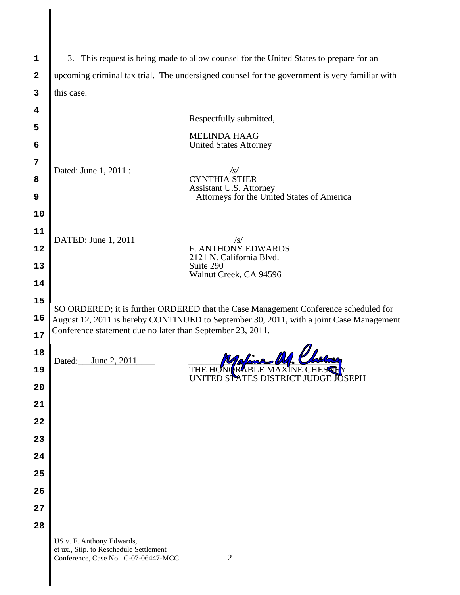| 1                       | 3. This request is being made to allow counsel for the United States to prepare for an                                                                |  |
|-------------------------|-------------------------------------------------------------------------------------------------------------------------------------------------------|--|
| $\overline{\mathbf{2}}$ | upcoming criminal tax trial. The undersigned counsel for the government is very familiar with                                                         |  |
| 3                       | this case.                                                                                                                                            |  |
| 4                       |                                                                                                                                                       |  |
| 5                       | Respectfully submitted,                                                                                                                               |  |
| 6                       | <b>MELINDA HAAG</b><br><b>United States Attorney</b>                                                                                                  |  |
| 7                       | Dated: June 1, 2011:<br>/s/                                                                                                                           |  |
| 8                       | <b>CYNTHIA STIER</b><br>Assistant U.S. Attorney                                                                                                       |  |
| 9                       | Attorneys for the United States of America                                                                                                            |  |
| 10                      |                                                                                                                                                       |  |
| 11                      | DATED: June 1, 2011<br>/s/                                                                                                                            |  |
| 12                      | <b>F. ANTHONY EDWARDS</b><br>2121 N. California Blvd.                                                                                                 |  |
| 13                      | Suite 290<br>Walnut Creek, CA 94596                                                                                                                   |  |
| 14                      |                                                                                                                                                       |  |
| 15                      | SO ORDERED; it is further ORDERED that the Case Management Conference scheduled for                                                                   |  |
| 16                      | August 12, 2011 is hereby CONTINUED to September 30, 2011, with a joint Case Management<br>Conference statement due no later than September 23, 2011. |  |
| 17                      |                                                                                                                                                       |  |
| 18<br>19                | Rafine DA PL<br>June 2, 2011<br>Dated:                                                                                                                |  |
| 20                      | UNITED STATES DISTRICT JUDGE<br><b>JOSEPH</b>                                                                                                         |  |
| 21                      |                                                                                                                                                       |  |
| 22                      |                                                                                                                                                       |  |
| 23                      |                                                                                                                                                       |  |
| 24                      |                                                                                                                                                       |  |
| 25                      |                                                                                                                                                       |  |
| 26                      |                                                                                                                                                       |  |
| 27                      |                                                                                                                                                       |  |
| 28                      |                                                                                                                                                       |  |
|                         | US v. F. Anthony Edwards,<br>et ux., Stip. to Reschedule Settlement<br>$\overline{2}$<br>Conference, Case No. C-07-06447-MCC                          |  |

║

 $\parallel$